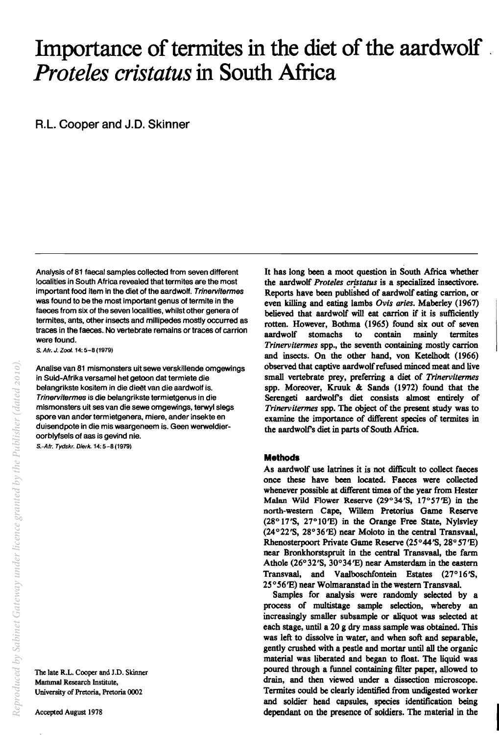# **Importance of termites in the diet of the aardwolf**  *Proteles cristatus* **in South Africa**

R.L. Cooper and J.D. Skinner

Analysis of 81 faecal samples collected from seven different localities in South Africa revealed that termites are the most important food item in the diet of the aardwolf. Trinervitermes was found to be the most important genus of termite in the faeces from six of the seven localities, whilst other genera of termites, ants, other insects and millipedes mostly occurred as traces in the faeces. No vertebrate remains or traces of carrion were found.

s. Afr. J. Zoot. 14: 5-8 (1979)

Analise van 81 mismonsters uit sewe verskillende omgewings in Suid-Afrika versamel het getoon dat termiete die belangrikste kositem in die dieët van die aardwolf is. Trinervitermes is die belangrikste termietgenus in die mismonsters uit ses van die sewe omgewings, terwyl slegs spore van ander termietgenera, miere, ander insekte en duisendpote in die mis waargeneem is. Geen werweldieroorblyfsels of aas is gevind nie.

S.-Afr. Tydskr. Diark. 14: 5-8 (1979)

The late R.L. Cooper and J.D. Skinner Mammal Research Institute, University of Pretoria, Pretoria 0002

It has long been a moot question in South Africa whether the aardwolf *Proteles crjstatus* is a specialized insectivore. Reports have been published of aardwolf eating carrion, or even killing and eating lambs *Ovis aries.* Maberley (1967) believed that aardwolf will eat carrion if it is sufficiently rotten. However, Bothma (1965) found six out of seven aardwolf stomachs to contain mainly termites *Trinervitermes* spp., the seventh containing mostly carrion and insects. On the other hand, von Ketelhodt (1966) observed that captive aardwolf refused minced meat and live small vertebrate prey, preferring a diet of *Trinervitermes*  spp. Moreover, Kruuk & Sands (1972) found that the Serengeti aardwolf's diet consists almost entirely of *Trinervitermes* spp. The object of the present study was to examine the importance of different species of termites in the aardwoIrs diet in parts of South Africa.

## **Methods**

As aardwolf use latrines it is not difficult to collect faeces once these have been located. Faeces were collected whenever possible at different times of the year from Hester Malan Wild Flower Reserve (29°34'S,  $17°57'E$ ) in the north-western Cape, Willem Pretorius Game Reserve (28° 17'S, 27°10'E) in the Orange Free State, Nylsvley (24°22'S, 28°36'E) near Moloto in the central Transvaal, Rhenosterpoort Private Game Reserve (25°44'S, 28° 57'E) near Bronkhorstspruit in the central Transvaal, the farm Athole (26 $\degree$ 32'S, 30 $\degree$ 34'E) near Amsterdam in the eastern Transvaal, and Vaalboschfontein Estates (27° 16 'S, 25 ° 56 'E) near Wolmaranstad in the western Transvaal.

Samples for analysis were randomly selected by a process of multistage sample selection, whereby an increasingly smaller subsample or aliquot was selected at each stage, until a 20 g dry mass sample was obtained. This was left to dissolve in water, and when soft and separable, gently crushed with a pestle and mortar until all the organic material was liberated and began to float. The liquid was poured through a funnel containing filter paper, allowed to drain, and then viewed under a dissection microscope. Termites could be clearly identified from undigested worker and soldier head capsules, species identification being dependant on the presence of soldiers. The material in the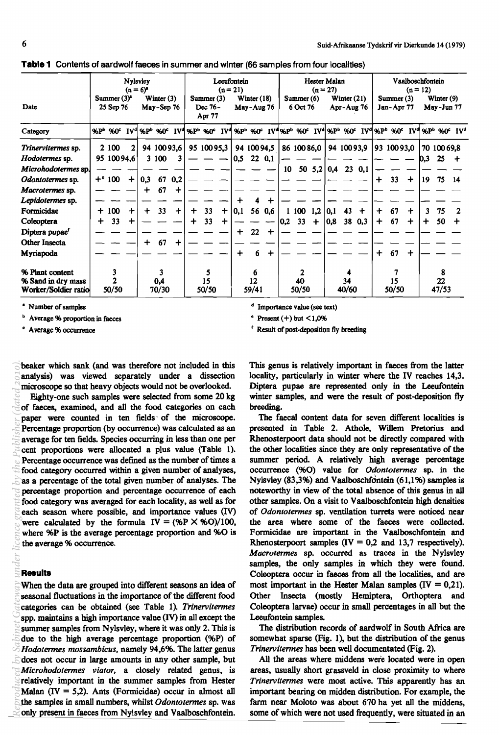|                            |                             | <b>Nylsvley</b><br>$(n = 6)^n$                                                                                                                  |                      |                            |             |                                 |        | Lecufontein<br>$(n = 21)$ |                             |               |             |                          |               | Hester Malan<br>$(n = 27)$ |                             |                |             |                         |       | Vaalboschfontein<br>$(n = 12)$ |                            |       |             |                                                                                                                                                                                                                                                 |  |
|----------------------------|-----------------------------|-------------------------------------------------------------------------------------------------------------------------------------------------|----------------------|----------------------------|-------------|---------------------------------|--------|---------------------------|-----------------------------|---------------|-------------|--------------------------|---------------|----------------------------|-----------------------------|----------------|-------------|-------------------------|-------|--------------------------------|----------------------------|-------|-------------|-------------------------------------------------------------------------------------------------------------------------------------------------------------------------------------------------------------------------------------------------|--|
| Date                       | Summer $(3)^n$<br>25 Sep 76 |                                                                                                                                                 |                      | Winter $(3)$<br>May-Sep 76 |             | Summer (3)<br>Dec 76-<br>Apr 77 |        |                           | Winter $(18)$<br>May-Aug 76 |               |             | Summer $(6)$<br>6 Oct 76 |               |                            | Winter $(21)$<br>Apr-Aug 76 |                |             | Summer(3)<br>Jan-Apr 77 |       |                                | Winter $(9)$<br>May-Jun 77 |       |             |                                                                                                                                                                                                                                                 |  |
| Category                   |                             | %P <sup>b</sup> %0 <sup>c</sup> IV <sup>d</sup> %P <sup>b</sup> %0 <sup>c</sup> IV <sup>d</sup> %P <sup>b</sup> %0 <sup>c</sup> IV <sup>d</sup> |                      |                            |             |                                 |        |                           |                             |               |             |                          |               |                            |                             |                |             |                         |       |                                |                            |       |             | %P <sup>b</sup> %0 <sup>c</sup> IV <sup>d</sup> %P <sup>b</sup> %0 <sup>c</sup> IV <sup>d</sup> %P <sup>b</sup> %0 <sup>c</sup> IV <sup>d</sup> %P <sup>b</sup> %0 <sup>c</sup> IV <sup>d</sup> %P <sup>b</sup> %0 <sup>c</sup> IV <sup>d</sup> |  |
| Trinervitermes sp.         |                             | 2 100                                                                                                                                           | 2                    |                            | 94 100 93,6 |                                 |        | 95 100 95,3               |                             |               | 94 100 94,5 |                          |               | 86 100 86,0                |                             |                | 94 100 93,9 |                         |       | 93 100 93,0                    |                            |       | 70 100 69,8 |                                                                                                                                                                                                                                                 |  |
| Hodotermes sp.             |                             | 95 100 94.6                                                                                                                                     |                      |                            | 3100        | 3                               |        |                           |                             | 0,5           | 220,1       |                          |               |                            |                             |                |             |                         |       |                                |                            | D.3   | 25          |                                                                                                                                                                                                                                                 |  |
| Microhodotermes sp.        |                             |                                                                                                                                                 |                      |                            |             |                                 |        |                           |                             |               |             |                          | 10            |                            |                             | 50 $5,2$   0,4 | 230,1       |                         |       |                                |                            |       |             |                                                                                                                                                                                                                                                 |  |
| Odontotermes sp.           |                             | $+$ 100                                                                                                                                         | $\ddot{\phantom{1}}$ | 0.3                        | 67          | 0,2                             |        |                           |                             |               |             |                          |               |                            |                             |                |             |                         | ┿     | 33                             | $\ddot{}$                  | 19    | 75          | 14                                                                                                                                                                                                                                              |  |
| Macrotermes sp.            |                             |                                                                                                                                                 |                      | ╈                          | 67          | $\ddot{}$                       |        |                           |                             |               |             |                          |               |                            |                             |                |             |                         |       |                                |                            |       |             |                                                                                                                                                                                                                                                 |  |
| Lepidotermes sp.           |                             |                                                                                                                                                 |                      |                            |             |                                 |        |                           |                             |               |             |                          |               |                            |                             |                |             |                         |       |                                |                            |       |             |                                                                                                                                                                                                                                                 |  |
| Formicidae                 | ┿                           | 100                                                                                                                                             | $\ddot{}$            | ┿                          | 33          | $\ddot{}$                       | $\div$ | 33                        | ┿                           | $ 0,1\rangle$ |             | 56 0,6                   |               | 100                        | 1,2                         | $ 0,1\rangle$  | 43          | $\div$                  | ┿     | 67                             | ┿                          | 3     | 75          |                                                                                                                                                                                                                                                 |  |
| Coleoptera                 | ┿                           | 33 <sub>1</sub>                                                                                                                                 | $\div$               |                            |             |                                 |        | 33                        | ┿                           |               |             |                          | $ 0,2\rangle$ | 33                         | $\ddot{}$                   | 0,8            | 38          | 0,3                     | +     | 67                             | $\div$                     |       | 50          | +                                                                                                                                                                                                                                               |  |
| Diptera pupae <sup>r</sup> |                             |                                                                                                                                                 |                      |                            |             |                                 |        |                           |                             | $\div$        | 22          | $\div$                   |               |                            |                             |                |             |                         |       |                                |                            |       |             |                                                                                                                                                                                                                                                 |  |
| <b>Other Insecta</b>       |                             |                                                                                                                                                 |                      | ┿                          | 67          | $\div$                          |        |                           |                             |               |             |                          |               |                            |                             |                |             |                         |       |                                |                            |       |             |                                                                                                                                                                                                                                                 |  |
| Myriapoda                  |                             |                                                                                                                                                 |                      |                            |             |                                 |        |                           |                             | ┿             | 6           | ┿                        |               |                            |                             |                |             |                         | ┿     | 67                             | $\div$                     |       |             |                                                                                                                                                                                                                                                 |  |
| % Plant content            |                             |                                                                                                                                                 |                      |                            |             |                                 |        |                           |                             |               |             |                          |               |                            |                             |                |             |                         |       |                                |                            |       | 8           |                                                                                                                                                                                                                                                 |  |
| % Sand in dry mass         |                             |                                                                                                                                                 |                      | 0,4                        |             |                                 | 15     |                           |                             | 12            |             |                          | 40            |                            |                             | 34             |             |                         | 15    |                                |                            | 22    |             |                                                                                                                                                                                                                                                 |  |
| Worker/Soldier ratio       | 50/50                       |                                                                                                                                                 |                      | 70/30                      |             |                                 | 50/50  |                           |                             | 59/41         |             |                          | 50/50         |                            |                             | 40/60          |             |                         | 50/50 |                                |                            | 47/53 |             |                                                                                                                                                                                                                                                 |  |

**Table 1** Contents of aardwolf faeces in summer and winter (66 samples from four localities)

<sup>\*</sup> Number of samples

Average % proportion in faeces

<sup>C</sup>Average % occurrence

d Importance value (see text)

 $e$  Present  $(+)$  but  $\leq 1,0%$ 

r Resuh of post-deposidon fly breeding

beaker which sank (and was therefore not included in this analysis) was viewed separately under a dissection microscope so that heavy Objects would not be overlooked.

Eighty-one such samples were selected from some 20 kg of faeces, examined, and all the food categories on each paper were counted in ten fields' of the microscope. Percentage proportion (by occurrence) was calculated as an average for ten fields. Species occurring in less than one per cent proportions were allocated a plus value (Table 1). Percentage occurrence was defmed as the number of times a food category occurred within a given number of analyses, as a percentage of the total given number of analyses. The percentage proportion and percentage occurrence of each food category was averaged for each locality, as well as for each season where possible, and importance values (IV) were calculated by the formula  $IV = (\%P \times \%O)/100$ , where %P is the average percentage proportion and %O is the average % occurrence. **betway** of a particle *by Sabinet* **By** *Cated* **by Cated by c** *c c <i>c c c c c c c c c c c c c c c c c c c c c c c*

#### **Results**

When the data are grouped into different seasons an idea of seasonal fluctuations in the importance of the different food categories can be obtained (see Table 1). *Trinervitermes*  spp. maintains a high importance value (IV) in all except the summer samples from Nylsvley, where it was only 2. This is due to the high average percentage proportion (%P) of *Hodotermes mossambicus,* namely 94,6%. The latter genus does not occur in large amounts in any other sample, but *Microhodotermes viator,* a closely related genus, is relatively important in the summer samples from Hester Malan  $(IV = 5,2)$ . Ants (Formicidae) occur in almost all the samples in small numbers, whilst *Odontotermes* sp. was only present in faeces from Nylsvley and Vaalboschfontein. *R*

This genus is relatively important in faeces from the latter locality, particularly in winter where the IV reaches 14,3. Diptera pupae are represented only in the Leeufontein winter samples, and were the result of post-deposition fly breeding.

The faecal content data for seven different localities is presented in Table 2. Athole, Willem Pretorius and Rhenosterpoort data should not be directly compared with the other localities since they are only representative of the summer period. A relatively high average percentage occurrence (%0) value for *Odontotermes* sp. in the Nylsvley (83,3%) and Vaalboschfontein (61,1%) samples is noteworthy in view of the total absence of this genus in all other samples. On a visit to Vaalboschfontein high densities of *Odontotermes* sp. ventilation turrets were noticed near the area where some of the faeces were collected. Formicidae are important in the Vaalboschfontein and Rhenosterpoort samples  $(IV = 0,2 \text{ and } 13,7 \text{ respectively}).$ *Macrotermes* sp. occurred as traces in the Nylsvley samples, the only samples in which they were found. Coleoptera occur in faeces from all the localities, and are most important in the Hester Malan samples  $(IV = 0,21)$ . Other Insecta (mostly Hemiptera, Orthoptera and Coleoptera larvae) occur in small percentages in all but the Leeufontein samples.

The distribution records of aardwolf in South Africa are somewhat sparse (Fig. I), but the distribution of the genus *Trinervitermes* has been well documentated (Fig. 2).

All the areas where middens were located were in open areas, usually short grassveld in close proximity to where *Trinervitermes* were most active. This apparently has an important bearing on midden distribution. For example, the farm near Moloto was about 670 ha yet all the middens, some of which were not used frequently, were situated in an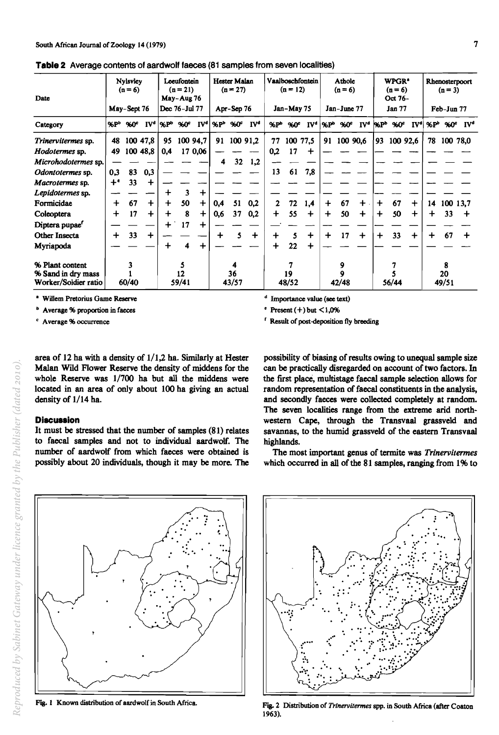| Date                                  |                  | <b>Nylsvley</b><br>$(n = 6)$ |                 | Leeufontein<br>$(n = 21)$<br>May-Aug 76 |      |                       | <b>Hester Malan</b><br>$(n = 27)$ |                                 |                 |                          | $(n = 12)$ | Vaalboschfontein |                           | <b>Athole</b><br>$(n = 6)$ |                 | WPGR <sup>*</sup><br>$(n=6)$<br>Oct 76- |                  |           | Rhenosterpoort<br>$(n = 3)$ |              |                            |  |
|---------------------------------------|------------------|------------------------------|-----------------|-----------------------------------------|------|-----------------------|-----------------------------------|---------------------------------|-----------------|--------------------------|------------|------------------|---------------------------|----------------------------|-----------------|-----------------------------------------|------------------|-----------|-----------------------------|--------------|----------------------------|--|
|                                       | May-Sept 76      |                              |                 | Dec 76-Jul 77                           |      |                       | Apr-Sep 76                        |                                 |                 | Jan-May 75               |            |                  | Jan-June 77               |                            |                 | <b>Jan 77</b>                           |                  |           | Feb-Jun 77                  |              |                            |  |
| Category                              | $\mathcal{R}P^b$ | 960°                         | IV <sup>d</sup> | l%P <sup>b</sup>                        | 960° | <b>IV<sup>d</sup></b> |                                   | %P <sup>b</sup> %0 <sup>c</sup> | IV <sup>4</sup> | $\mathscr{C}P^{\bullet}$ | 960°       | IV <sup>d</sup>  | $\mathbf{X}$ <sub>p</sub> | $%0^{\circ}$               | IV <sup>d</sup> | $\mathbf{R}$                            | 960 <sup>c</sup> | $[V^d]$   | $\mathcal{E}P^{\mathbf{b}}$ | $%0^{\circ}$ | $\mathbf{IV}^{\mathbf{d}}$ |  |
| Trinervitermes sp.                    | 48               |                              | 100 47,8        | 95                                      |      | 100 94,7              | 91                                |                                 | 100 91,2        | 77                       | 100 77,5   |                  | 91                        | 100 90,6                   |                 | 93                                      | 100 92,6         |           | 78                          |              | 100 78,0                   |  |
| Hodotermes sp.                        | 49               |                              | 100 48,8        | 0,4                                     |      | 17 0,06               |                                   |                                 |                 | 0,2                      | 17         | +                |                           |                            |                 |                                         |                  |           |                             |              |                            |  |
| Microhodotermes sp.                   |                  |                              |                 |                                         |      |                       | 4                                 | 32 <sub>2</sub>                 | 1,2             |                          |            |                  |                           |                            |                 |                                         |                  |           |                             |              |                            |  |
| Odontotermes sp.                      | 0,3              | 83                           | 0,3             |                                         |      |                       |                                   |                                 |                 | 13                       | 61         | 7,8              |                           |                            |                 |                                         |                  |           |                             |              |                            |  |
| Macrotermes sp.                       | $+$ $\cdot$      | 33                           | $\ddag$         |                                         |      |                       |                                   |                                 |                 |                          |            |                  |                           |                            |                 |                                         |                  |           |                             |              |                            |  |
| Lepidotermes sp.                      |                  |                              |                 | ╋                                       | 3    | ┿                     |                                   |                                 |                 |                          |            |                  |                           |                            |                 |                                         |                  |           |                             |              |                            |  |
| Formicidae                            | ┿                | 67                           | $\ddot{}$       | $\ddot{}$                               | 50   | $\div$                | 0,4                               | 51                              | 0.2             | 2                        | 72         | 1,4              | ╇                         | 67                         | ┿               | $\ddot{}$                               | 67               | $\ddot{}$ | 14                          | 100 13.7     |                            |  |
| Coleoptera                            | ┿                | 17                           | $\div$          | $\div$                                  | 8    | ┿                     | 0.6                               | 37                              | 0.2             | $\ddot{}$                | 55         | $\div$           | $\ddot{}$                 | 50                         | $\div$          | $\div$                                  | 50               | $\div$    | ┿                           | 33           | $\div$                     |  |
| Diptera pupae <sup>r</sup>            |                  |                              |                 | $\div$                                  | 17   | $\ddot{}$             |                                   |                                 |                 |                          |            |                  |                           |                            |                 |                                         |                  |           |                             |              |                            |  |
| Other Insecta                         | ╇                | 33                           | $\div$          |                                         |      |                       | ╇                                 |                                 | $\div$          | ┿                        | 5          | $\ddag$          | ┿                         | 17                         | $\div$          | $\ddot{}$                               | 33               | $\ddot{}$ | ╇                           | 67           | +                          |  |
| Myriapoda                             |                  |                              |                 | ┿                                       |      | ┿                     |                                   |                                 |                 |                          | 22         |                  |                           |                            |                 |                                         |                  |           |                             |              |                            |  |
| % Plant content<br>% Sand in dry mass |                  |                              |                 | 12                                      |      |                       | 4<br>36                           |                                 |                 | 19                       |            |                  |                           | 9<br>9                     |                 |                                         |                  |           |                             | 8<br>20      |                            |  |
| Worker/Soldier ratio                  | 60/40            |                              |                 | 59/41                                   |      |                       | 43/57                             |                                 |                 | 48/52                    |            |                  | 42/48                     |                            |                 | 56/44                                   |                  |           | 49/51                       |              |                            |  |

**Table 2** Average contents of aardwolf faeces (81 samples from seven localities)

• Willem Pretorius Game Reserve

 $<sup>b</sup>$  Average % proportion in faeces</sup>

Average % occurrence

 $d$  Importance value (see text)

• Present  $(+)$  but  $\leq 1.0\%$ 

r Result of post-deposition fly breeding

area of 12 ha with a density of 1/1,2 ha. Similarly at Hester Malan Wild Flower Reserve the density of middens for the whole Reserve was 1/700 ha but all the middens were located in an area of only about 100 ha giving an actual density of 1/14 ha.

### **Diacuaaion**

It must be stressed that the number of samples (81) relates to faecal samples and not to individual aardwolf. The number of aardwolf from which faeces were obtained is possibly about 20 individuals, though it may be more. The

 $\ddot{\cdot}$  .

possibility of biasing of results owing to unequal sample size can be practically disregarded on account of two factors. In the first place, multistage faecal sample selection allows for random representation of faecal constituents in the analysis, and secondly faeces were collected completely at random. The seven localities range from the extreme arid northwestern Cape, through the Transvaal grassveld and savannas, to the humid grassveld of the eastern Transvaal highlands.

The most important genus of termite was *Trinervitermes*  which occurred in all of the 81 samples, ranging from 1% to



Fig. I Known distribution of aardwolf in South Africa.



Fig. 2 Distribution of *Trtnervitermes* spp. in South Africa (after Coston 1963).